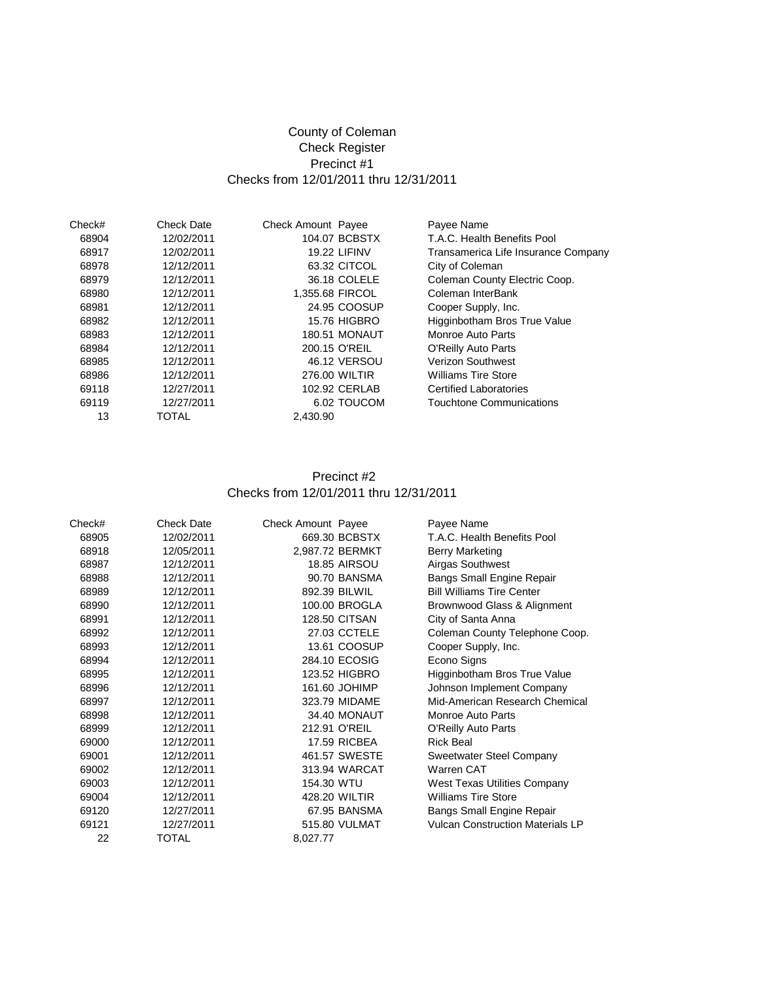## County of Coleman Check Register Precinct #1 Checks from 12/01/2011 thru 12/31/2011

| Check# | <b>Check Date</b> | <b>Check Amount Payee</b> | Payee Name                          |
|--------|-------------------|---------------------------|-------------------------------------|
| 68904  | 12/02/2011        | 104.07 BCBSTX             | T.A.C. Health Benefits Pool         |
| 68917  | 12/02/2011        | <b>19.22 LIFINV</b>       | Transamerica Life Insurance Company |
| 68978  | 12/12/2011        | 63.32 CITCOL              | City of Coleman                     |
| 68979  | 12/12/2011        | 36.18 COLELE              | Coleman County Electric Coop.       |
| 68980  | 12/12/2011        | 1.355.68 FIRCOL           | Coleman InterBank                   |
| 68981  | 12/12/2011        | 24.95 COOSUP              | Cooper Supply, Inc.                 |
| 68982  | 12/12/2011        | <b>15.76 HIGBRO</b>       | Higginbotham Bros True Value        |
| 68983  | 12/12/2011        | <b>180.51 MONAUT</b>      | Monroe Auto Parts                   |
| 68984  | 12/12/2011        | 200.15 O'REIL             | O'Reilly Auto Parts                 |
| 68985  | 12/12/2011        | 46.12 VERSOU              | <b>Verizon Southwest</b>            |
| 68986  | 12/12/2011        | 276.00 WILTIR             | <b>Williams Tire Store</b>          |
| 69118  | 12/27/2011        | 102.92 CERLAB             | <b>Certified Laboratories</b>       |
| 69119  | 12/27/2011        | 6.02 TOUCOM               | <b>Touchtone Communications</b>     |
| 13     | TOTAL             | 2,430.90                  |                                     |

#### Precinct #2 Checks from 12/01/2011 thru 12/31/2011

| Check# | <b>Check Date</b> | Check Amount Payee | Payee Name                              |
|--------|-------------------|--------------------|-----------------------------------------|
| 68905  | 12/02/2011        | 669.30 BCBSTX      | T.A.C. Health Benefits Pool             |
| 68918  | 12/05/2011        | 2,987.72 BERMKT    | Berry Marketing                         |
| 68987  | 12/12/2011        | 18.85 AIRSOU       | Airgas Southwest                        |
| 68988  | 12/12/2011        | 90.70 BANSMA       | Bangs Small Engine Repair               |
| 68989  | 12/12/2011        | 892.39 BILWIL      | <b>Bill Williams Tire Center</b>        |
| 68990  | 12/12/2011        | 100.00 BROGLA      | Brownwood Glass & Alignment             |
| 68991  | 12/12/2011        | 128.50 CITSAN      | City of Santa Anna                      |
| 68992  | 12/12/2011        | 27.03 CCTELE       | Coleman County Telephone Coop.          |
| 68993  | 12/12/2011        | 13.61 COOSUP       | Cooper Supply, Inc.                     |
| 68994  | 12/12/2011        | 284.10 ECOSIG      | Econo Signs                             |
| 68995  | 12/12/2011        | 123.52 HIGBRO      | Higginbotham Bros True Value            |
| 68996  | 12/12/2011        | 161.60 JOHIMP      | Johnson Implement Company               |
| 68997  | 12/12/2011        | 323.79 MIDAME      | Mid-American Research Chemical          |
| 68998  | 12/12/2011        | 34.40 MONAUT       | Monroe Auto Parts                       |
| 68999  | 12/12/2011        | 212.91 O'REIL      | O'Reilly Auto Parts                     |
| 69000  | 12/12/2011        | 17.59 RICBEA       | <b>Rick Beal</b>                        |
| 69001  | 12/12/2011        | 461.57 SWESTE      | Sweetwater Steel Company                |
| 69002  | 12/12/2011        | 313.94 WARCAT      | Warren CAT                              |
| 69003  | 12/12/2011        | 154.30 WTU         | <b>West Texas Utilities Company</b>     |
| 69004  | 12/12/2011        | 428.20 WILTIR      | <b>Williams Tire Store</b>              |
| 69120  | 12/27/2011        | 67.95 BANSMA       | Bangs Small Engine Repair               |
| 69121  | 12/27/2011        | 515.80 VULMAT      | <b>Vulcan Construction Materials LP</b> |
| 22     | TOTAL             | 8,027.77           |                                         |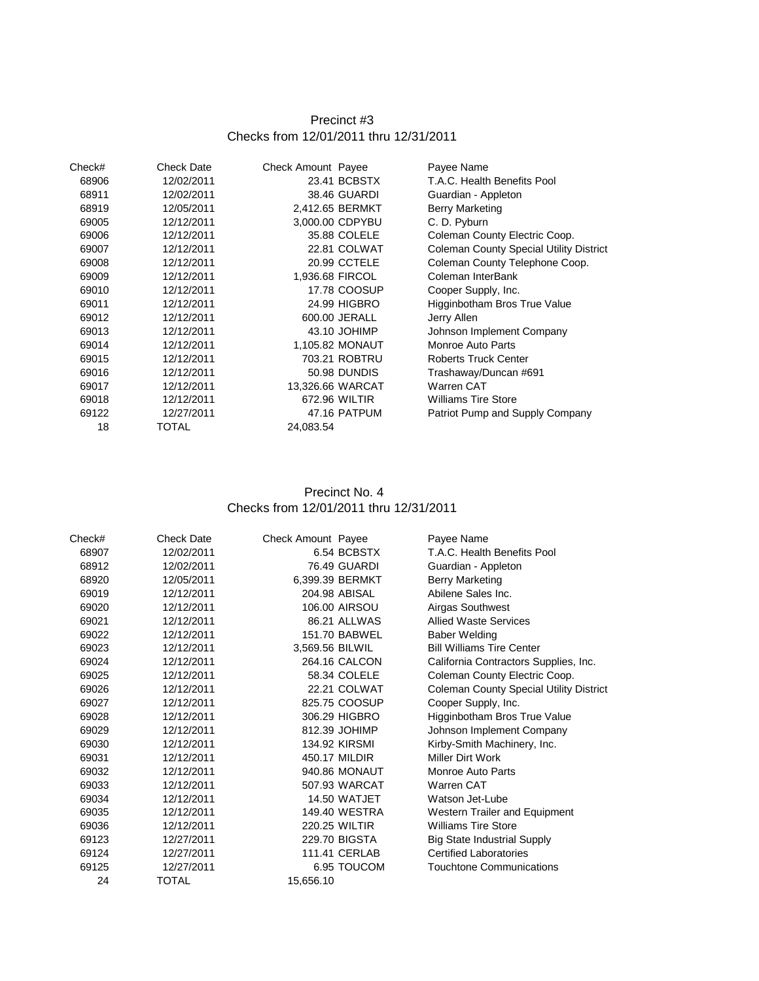# Precinct #3 Checks from 12/01/2011 thru 12/31/2011

| Check# | <b>Check Date</b> | <b>Check Amount Payee</b> |                     | Payee Name                                     |
|--------|-------------------|---------------------------|---------------------|------------------------------------------------|
| 68906  | 12/02/2011        |                           | 23.41 BCBSTX        | T.A.C. Health Benefits Pool                    |
| 68911  | 12/02/2011        |                           | 38.46 GUARDI        | Guardian - Appleton                            |
| 68919  | 12/05/2011        |                           | 2,412.65 BERMKT     | Berry Marketing                                |
| 69005  | 12/12/2011        |                           | 3.000.00 CDPYBU     | C. D. Pyburn                                   |
| 69006  | 12/12/2011        |                           | 35.88 COLELE        | Coleman County Electric Coop.                  |
| 69007  | 12/12/2011        |                           | 22.81 COLWAT        | <b>Coleman County Special Utility District</b> |
| 69008  | 12/12/2011        |                           | 20.99 CCTELE        | Coleman County Telephone Coop.                 |
| 69009  | 12/12/2011        |                           | 1,936.68 FIRCOL     | Coleman InterBank                              |
| 69010  | 12/12/2011        |                           | 17.78 COOSUP        | Cooper Supply, Inc.                            |
| 69011  | 12/12/2011        |                           | 24.99 HIGBRO        | Higginbotham Bros True Value                   |
| 69012  | 12/12/2011        |                           | 600.00 JERALL       | Jerry Allen                                    |
| 69013  | 12/12/2011        |                           | 43.10 JOHIMP        | Johnson Implement Company                      |
| 69014  | 12/12/2011        |                           | 1,105.82 MONAUT     | Monroe Auto Parts                              |
| 69015  | 12/12/2011        |                           | 703.21 ROBTRU       | <b>Roberts Truck Center</b>                    |
| 69016  | 12/12/2011        |                           | <b>50.98 DUNDIS</b> | Trashaway/Duncan #691                          |
| 69017  | 12/12/2011        |                           | 13,326.66 WARCAT    | Warren CAT                                     |
| 69018  | 12/12/2011        |                           | 672.96 WILTIR       | <b>Williams Tire Store</b>                     |
| 69122  | 12/27/2011        |                           | 47.16 PATPUM        | Patriot Pump and Supply Company                |
| 18     | TOTAL             | 24,083.54                 |                     |                                                |
|        |                   |                           |                     |                                                |

## Precinct No. 4 Checks from 12/01/2011 thru 12/31/2011

| Check# | <b>Check Date</b> | Check Amount Payee |                      | Payee Name                                     |
|--------|-------------------|--------------------|----------------------|------------------------------------------------|
| 68907  | 12/02/2011        |                    | 6.54 BCBSTX          | T.A.C. Health Benefits Pool                    |
| 68912  | 12/02/2011        |                    | 76.49 GUARDI         | Guardian - Appleton                            |
| 68920  | 12/05/2011        |                    | 6,399.39 BERMKT      | Berry Marketing                                |
| 69019  | 12/12/2011        |                    | 204.98 ABISAL        | Abilene Sales Inc.                             |
| 69020  | 12/12/2011        |                    | 106.00 AIRSOU        | Airgas Southwest                               |
| 69021  | 12/12/2011        |                    | 86.21 ALLWAS         | <b>Allied Waste Services</b>                   |
| 69022  | 12/12/2011        |                    | 151.70 BABWEL        | <b>Baber Welding</b>                           |
| 69023  | 12/12/2011        | 3,569.56 BILWIL    |                      | <b>Bill Williams Tire Center</b>               |
| 69024  | 12/12/2011        |                    | 264.16 CALCON        | California Contractors Supplies, Inc.          |
| 69025  | 12/12/2011        |                    | 58.34 COLELE         | Coleman County Electric Coop.                  |
| 69026  | 12/12/2011        |                    | 22.21 COLWAT         | <b>Coleman County Special Utility District</b> |
| 69027  | 12/12/2011        |                    | 825.75 COOSUP        | Cooper Supply, Inc.                            |
| 69028  | 12/12/2011        |                    | 306.29 HIGBRO        | Higginbotham Bros True Value                   |
| 69029  | 12/12/2011        |                    | 812.39 JOHIMP        | Johnson Implement Company                      |
| 69030  | 12/12/2011        |                    | 134.92 KIRSMI        | Kirby-Smith Machinery, Inc.                    |
| 69031  | 12/12/2011        |                    | 450.17 MILDIR        | Miller Dirt Work                               |
| 69032  | 12/12/2011        |                    | 940.86 MONAUT        | <b>Monroe Auto Parts</b>                       |
| 69033  | 12/12/2011        |                    | 507.93 WARCAT        | Warren CAT                                     |
| 69034  | 12/12/2011        |                    | 14.50 WATJET         | Watson Jet-Lube                                |
| 69035  | 12/12/2011        |                    | 149.40 WESTRA        | Western Trailer and Equipment                  |
| 69036  | 12/12/2011        |                    | <b>220.25 WILTIR</b> | <b>Williams Tire Store</b>                     |
| 69123  | 12/27/2011        |                    | 229.70 BIGSTA        | <b>Big State Industrial Supply</b>             |
| 69124  | 12/27/2011        |                    | 111.41 CERLAB        | <b>Certified Laboratories</b>                  |
| 69125  | 12/27/2011        |                    | 6.95 TOUCOM          | Touchtone Communications                       |
| 24     | TOTAL             | 15,656.10          |                      |                                                |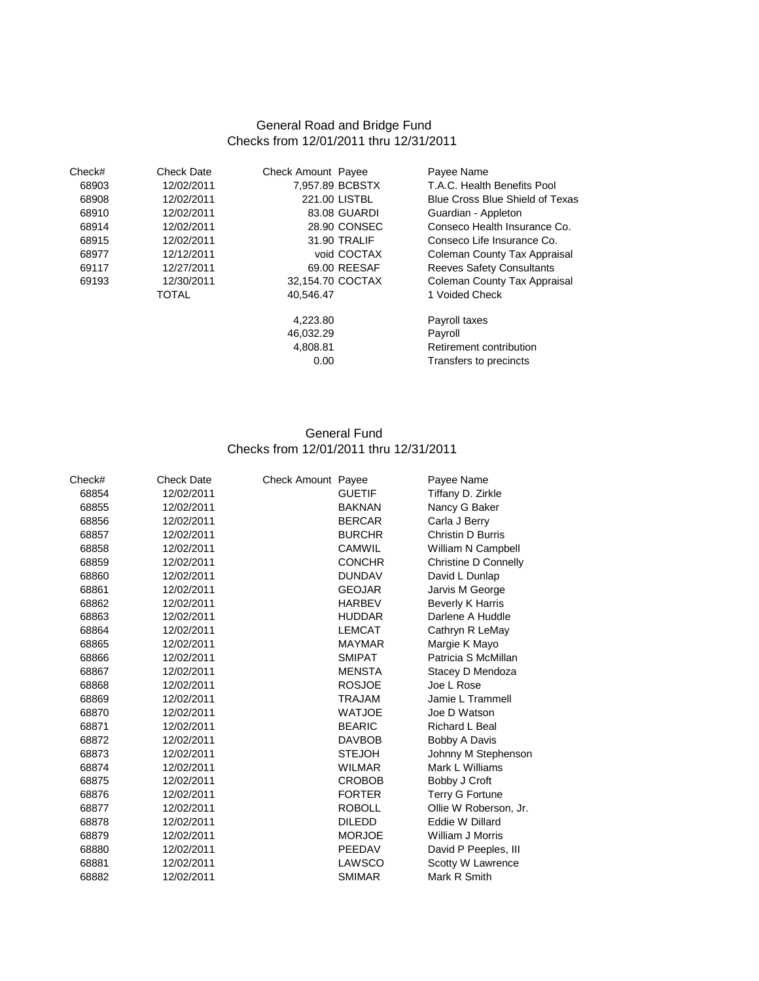#### General Road and Bridge Fund Checks from 12/01/2011 thru 12/31/2011

| Check# | <b>Check Date</b> | <b>Check Amount Payee</b> |              | Payee Name                       |
|--------|-------------------|---------------------------|--------------|----------------------------------|
| 68903  | 12/02/2011        | 7.957.89 BCBSTX           |              | T.A.C. Health Benefits Pool      |
| 68908  | 12/02/2011        | 221.00 LISTBL             |              | Blue Cross Blue Shield of Texas  |
| 68910  | 12/02/2011        |                           | 83.08 GUARDI | Guardian - Appleton              |
| 68914  | 12/02/2011        |                           | 28.90 CONSEC | Conseco Health Insurance Co.     |
| 68915  | 12/02/2011        |                           | 31.90 TRALIF | Conseco Life Insurance Co.       |
| 68977  | 12/12/2011        |                           | void COCTAX  | Coleman County Tax Appraisal     |
| 69117  | 12/27/2011        |                           | 69.00 REESAF | <b>Reeves Safety Consultants</b> |
| 69193  | 12/30/2011        | 32.154.70 COCTAX          |              | Coleman County Tax Appraisal     |
|        | <b>TOTAL</b>      | 40.546.47                 |              | 1 Voided Check                   |
|        |                   | 4.223.80                  |              | Payroll taxes                    |
|        |                   | 46,032.29                 |              | Payroll                          |
|        |                   | 4,808.81                  |              | Retirement contribution          |
|        |                   | 0.00                      |              | Transfers to precincts           |
|        |                   |                           |              |                                  |

## General Fund Checks from 12/01/2011 thru 12/31/2011

| <b>Check Date</b> |               | Payee Name              |
|-------------------|---------------|-------------------------|
| 12/02/2011        | <b>GUETIF</b> | Tiffany D. Zirkle       |
| 12/02/2011        | <b>BAKNAN</b> | Nancy G Baker           |
| 12/02/2011        | <b>BERCAR</b> | Carla J Berry           |
| 12/02/2011        | <b>BURCHR</b> | Christin D Burris       |
| 12/02/2011        | <b>CAMWIL</b> | William N Campbell      |
| 12/02/2011        | <b>CONCHR</b> | Christine D Connelly    |
| 12/02/2011        | <b>DUNDAV</b> | David L Dunlap          |
| 12/02/2011        | <b>GEOJAR</b> | Jarvis M George         |
| 12/02/2011        | <b>HARBEV</b> | <b>Beverly K Harris</b> |
| 12/02/2011        | <b>HUDDAR</b> | Darlene A Huddle        |
| 12/02/2011        | <b>LEMCAT</b> | Cathryn R LeMay         |
| 12/02/2011        | <b>MAYMAR</b> | Margie K Mayo           |
| 12/02/2011        | <b>SMIPAT</b> | Patricia S McMillan     |
| 12/02/2011        | <b>MENSTA</b> | Stacey D Mendoza        |
| 12/02/2011        | <b>ROSJOE</b> | Joe L Rose              |
| 12/02/2011        | <b>TRAJAM</b> | Jamie L Trammell        |
| 12/02/2011        | <b>WATJOE</b> | Joe D Watson            |
| 12/02/2011        | <b>BEARIC</b> | Richard L Beal          |
| 12/02/2011        | <b>DAVBOB</b> | Bobby A Davis           |
| 12/02/2011        | <b>STEJOH</b> | Johnny M Stephenson     |
| 12/02/2011        | <b>WILMAR</b> | Mark L Williams         |
| 12/02/2011        | <b>CROBOB</b> | Bobby J Croft           |
| 12/02/2011        | <b>FORTER</b> | <b>Terry G Fortune</b>  |
| 12/02/2011        | <b>ROBOLL</b> | Ollie W Roberson, Jr.   |
| 12/02/2011        | <b>DILEDD</b> | Eddie W Dillard         |
| 12/02/2011        | <b>MORJOE</b> | William J Morris        |
| 12/02/2011        | PEEDAV        | David P Peeples, III    |
| 12/02/2011        | LAWSCO        | Scotty W Lawrence       |
| 12/02/2011        | <b>SMIMAR</b> | Mark R Smith            |
|                   |               | Check Amount Payee      |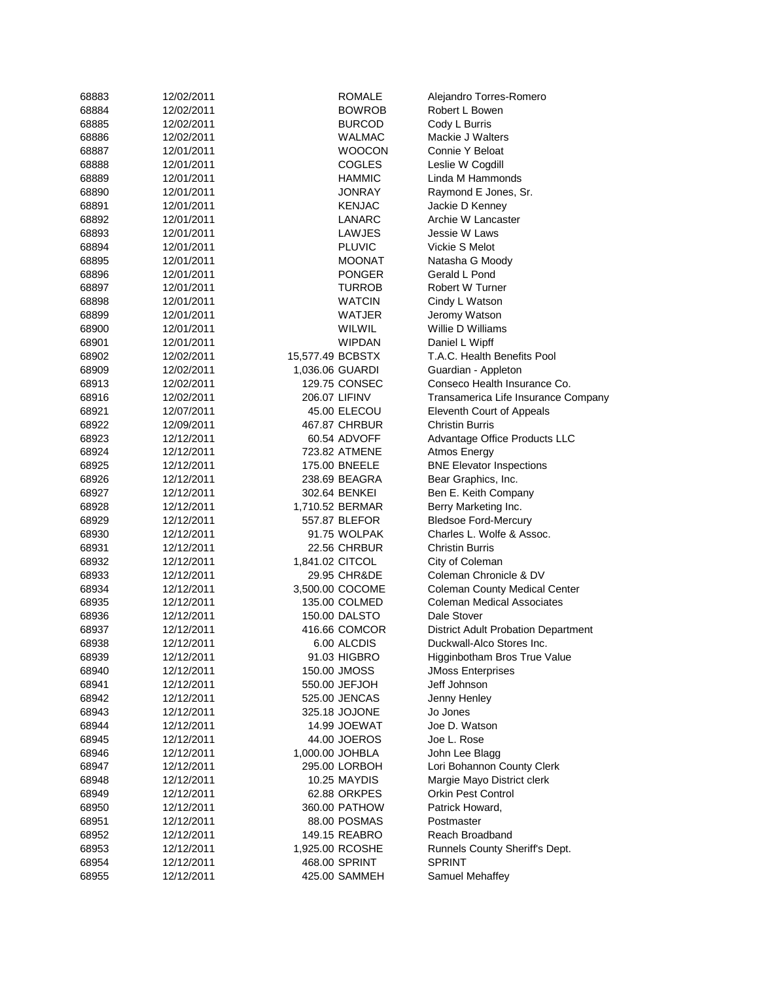| 68883 | 12/02/2011 | <b>ROMALE</b>    | Alejandro Torres-Romero                    |
|-------|------------|------------------|--------------------------------------------|
| 68884 | 12/02/2011 | BOWROB           | Robert L Bowen                             |
| 68885 | 12/02/2011 | <b>BURCOD</b>    | Cody L Burris                              |
| 68886 | 12/02/2011 | <b>WALMAC</b>    | Mackie J Walters                           |
| 68887 | 12/01/2011 | <b>WOOCON</b>    | Connie Y Beloat                            |
| 68888 | 12/01/2011 | <b>COGLES</b>    | Leslie W Cogdill                           |
| 68889 | 12/01/2011 | HAMMIC           | Linda M Hammonds                           |
| 68890 | 12/01/2011 | JONRAY           | Raymond E Jones, Sr.                       |
| 68891 | 12/01/2011 | <b>KENJAC</b>    | Jackie D Kenney                            |
| 68892 | 12/01/2011 | LANARC           | Archie W Lancaster                         |
| 68893 | 12/01/2011 | LAWJES           | Jessie W Laws                              |
| 68894 | 12/01/2011 | <b>PLUVIC</b>    | Vickie S Melot                             |
| 68895 | 12/01/2011 | <b>MOONAT</b>    | Natasha G Moody                            |
| 68896 | 12/01/2011 | PONGER           | Gerald L Pond                              |
| 68897 | 12/01/2011 | <b>TURROB</b>    | Robert W Turner                            |
| 68898 | 12/01/2011 | <b>WATCIN</b>    | Cindy L Watson                             |
| 68899 | 12/01/2011 | WATJER           | Jeromy Watson                              |
| 68900 | 12/01/2011 | WILWIL           | Willie D Williams                          |
| 68901 | 12/01/2011 | <b>WIPDAN</b>    | Daniel L Wipff                             |
| 68902 | 12/02/2011 | 15,577.49 BCBSTX | T.A.C. Health Benefits Pool                |
| 68909 | 12/02/2011 | 1,036.06 GUARDI  | Guardian - Appleton                        |
| 68913 | 12/02/2011 | 129.75 CONSEC    | Conseco Health Insurance Co.               |
| 68916 | 12/02/2011 | 206.07 LIFINV    | Transamerica Life Insurance Company        |
| 68921 | 12/07/2011 | 45.00 ELECOU     | Eleventh Court of Appeals                  |
| 68922 | 12/09/2011 | 467.87 CHRBUR    | <b>Christin Burris</b>                     |
| 68923 | 12/12/2011 | 60.54 ADVOFF     | Advantage Office Products LLC              |
| 68924 | 12/12/2011 | 723.82 ATMENE    | Atmos Energy                               |
| 68925 | 12/12/2011 | 175.00 BNEELE    | <b>BNE Elevator Inspections</b>            |
| 68926 | 12/12/2011 | 238.69 BEAGRA    | Bear Graphics, Inc.                        |
| 68927 | 12/12/2011 | 302.64 BENKEI    | Ben E. Keith Company                       |
| 68928 | 12/12/2011 | 1,710.52 BERMAR  | Berry Marketing Inc.                       |
| 68929 | 12/12/2011 | 557.87 BLEFOR    | <b>Bledsoe Ford-Mercury</b>                |
| 68930 | 12/12/2011 | 91.75 WOLPAK     | Charles L. Wolfe & Assoc.                  |
| 68931 | 12/12/2011 | 22.56 CHRBUR     | <b>Christin Burris</b>                     |
| 68932 | 12/12/2011 | 1,841.02 CITCOL  | City of Coleman                            |
| 68933 | 12/12/2011 | 29.95 CHR&DE     | Coleman Chronicle & DV                     |
| 68934 | 12/12/2011 | 3,500.00 COCOME  | <b>Coleman County Medical Center</b>       |
| 68935 | 12/12/2011 | 135.00 COLMED    | <b>Coleman Medical Associates</b>          |
| 68936 | 12/12/2011 | 150.00 DALSTO    | Dale Stover                                |
| 68937 | 12/12/2011 | 416.66 COMCOR    | <b>District Adult Probation Department</b> |
| 68938 | 12/12/2011 | 6.00 ALCDIS      | Duckwall-Alco Stores Inc.                  |
| 68939 | 12/12/2011 | 91.03 HIGBRO     | Higginbotham Bros True Value               |
| 68940 | 12/12/2011 | 150.00 JMOSS     | <b>JMoss Enterprises</b>                   |
| 68941 | 12/12/2011 | 550.00 JEFJOH    | Jeff Johnson                               |
| 68942 | 12/12/2011 | 525.00 JENCAS    | Jenny Henley                               |
| 68943 | 12/12/2011 | 325.18 JOJONE    | Jo Jones                                   |
| 68944 | 12/12/2011 | 14.99 JOEWAT     | Joe D. Watson                              |
| 68945 | 12/12/2011 | 44.00 JOEROS     | Joe L. Rose                                |
| 68946 | 12/12/2011 | 1,000.00 JOHBLA  | John Lee Blagg                             |
| 68947 | 12/12/2011 | 295.00 LORBOH    | Lori Bohannon County Clerk                 |
| 68948 | 12/12/2011 | 10.25 MAYDIS     | Margie Mayo District clerk                 |
| 68949 | 12/12/2011 | 62.88 ORKPES     | <b>Orkin Pest Control</b>                  |
| 68950 | 12/12/2011 | 360.00 PATHOW    | Patrick Howard,                            |
| 68951 | 12/12/2011 | 88.00 POSMAS     | Postmaster                                 |
| 68952 | 12/12/2011 | 149.15 REABRO    | Reach Broadband                            |
| 68953 | 12/12/2011 | 1,925.00 RCOSHE  | Runnels County Sheriff's Dept.             |
| 68954 | 12/12/2011 | 468.00 SPRINT    | <b>SPRINT</b>                              |
| 68955 | 12/12/2011 | 425.00 SAMMEH    | Samuel Mehaffey                            |
|       |            |                  |                                            |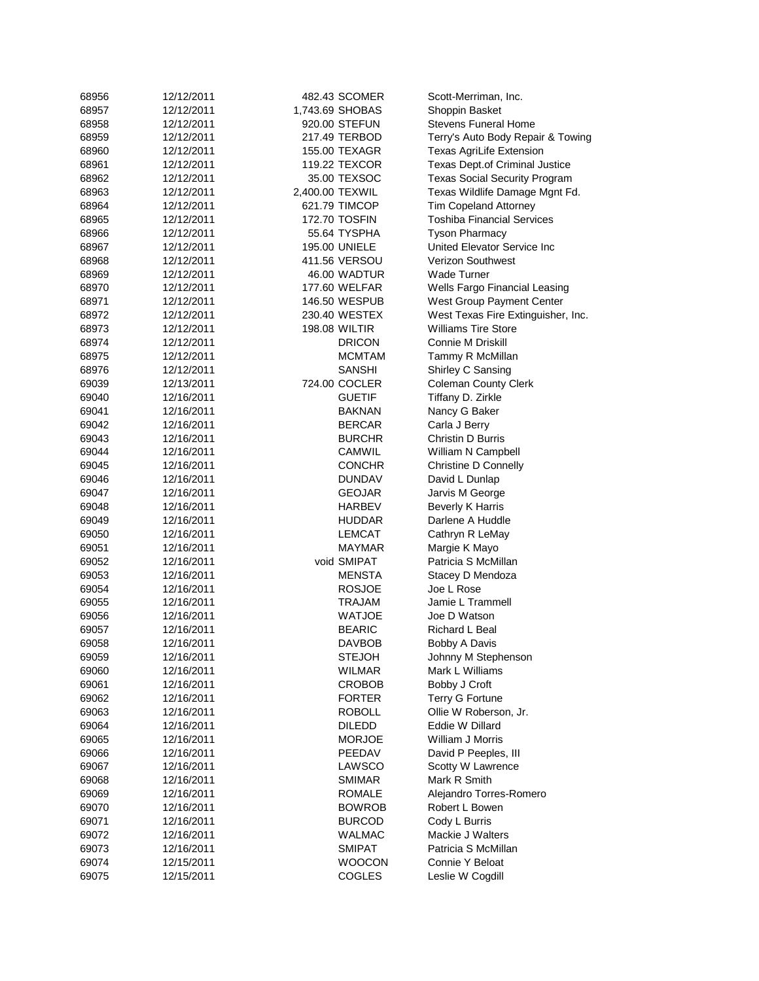| 68956 | 12/12/2011 |                 | 482.43 SCOMER        | Scott-Merriman, Inc.                 |
|-------|------------|-----------------|----------------------|--------------------------------------|
| 68957 | 12/12/2011 |                 | 1,743.69 SHOBAS      | Shoppin Basket                       |
| 68958 | 12/12/2011 |                 | 920.00 STEFUN        | <b>Stevens Funeral Home</b>          |
| 68959 | 12/12/2011 |                 | 217.49 TERBOD        | Terry's Auto Body Repair & Towing    |
| 68960 | 12/12/2011 |                 | 155.00 TEXAGR        | Texas AgriLife Extension             |
| 68961 | 12/12/2011 |                 | 119.22 TEXCOR        | Texas Dept.of Criminal Justice       |
| 68962 | 12/12/2011 |                 | 35.00 TEXSOC         | <b>Texas Social Security Program</b> |
|       |            |                 |                      |                                      |
| 68963 | 12/12/2011 | 2,400.00 TEXWIL |                      | Texas Wildlife Damage Mgnt Fd.       |
| 68964 | 12/12/2011 |                 | 621.79 TIMCOP        | <b>Tim Copeland Attorney</b>         |
| 68965 | 12/12/2011 |                 | 172.70 TOSFIN        | <b>Toshiba Financial Services</b>    |
| 68966 | 12/12/2011 |                 | 55.64 TYSPHA         | <b>Tyson Pharmacy</b>                |
| 68967 | 12/12/2011 |                 | 195.00 UNIELE        | United Elevator Service Inc          |
| 68968 | 12/12/2011 |                 | 411.56 VERSOU        | <b>Verizon Southwest</b>             |
| 68969 | 12/12/2011 |                 | 46.00 WADTUR         | Wade Turner                          |
| 68970 | 12/12/2011 |                 | 177.60 WELFAR        | Wells Fargo Financial Leasing        |
| 68971 | 12/12/2011 |                 | 146.50 WESPUB        | West Group Payment Center            |
| 68972 | 12/12/2011 |                 | 230.40 WESTEX        | West Texas Fire Extinguisher, Inc.   |
| 68973 | 12/12/2011 |                 | <b>198.08 WILTIR</b> | <b>Williams Tire Store</b>           |
| 68974 | 12/12/2011 |                 | <b>DRICON</b>        | Connie M Driskill                    |
| 68975 | 12/12/2011 |                 | MCMTAM               | Tammy R McMillan                     |
| 68976 | 12/12/2011 |                 | SANSHI               | Shirley C Sansing                    |
| 69039 | 12/13/2011 |                 | 724.00 COCLER        | <b>Coleman County Clerk</b>          |
| 69040 | 12/16/2011 |                 | <b>GUETIF</b>        | Tiffany D. Zirkle                    |
|       |            |                 |                      |                                      |
| 69041 | 12/16/2011 |                 | <b>BAKNAN</b>        | Nancy G Baker                        |
| 69042 | 12/16/2011 |                 | <b>BERCAR</b>        | Carla J Berry                        |
| 69043 | 12/16/2011 |                 | <b>BURCHR</b>        | Christin D Burris                    |
| 69044 | 12/16/2011 |                 | <b>CAMWIL</b>        | William N Campbell                   |
| 69045 | 12/16/2011 |                 | <b>CONCHR</b>        | Christine D Connelly                 |
| 69046 | 12/16/2011 |                 | <b>DUNDAV</b>        | David L Dunlap                       |
| 69047 | 12/16/2011 |                 | <b>GEOJAR</b>        | Jarvis M George                      |
| 69048 | 12/16/2011 |                 | <b>HARBEV</b>        | <b>Beverly K Harris</b>              |
| 69049 | 12/16/2011 |                 | <b>HUDDAR</b>        | Darlene A Huddle                     |
| 69050 | 12/16/2011 |                 | <b>LEMCAT</b>        | Cathryn R LeMay                      |
| 69051 | 12/16/2011 |                 | MAYMAR               | Margie K Mayo                        |
| 69052 | 12/16/2011 |                 | void SMIPAT          | Patricia S McMillan                  |
| 69053 | 12/16/2011 |                 | <b>MENSTA</b>        | Stacey D Mendoza                     |
| 69054 | 12/16/2011 |                 | <b>ROSJOE</b>        | Joe L Rose                           |
| 69055 | 12/16/2011 |                 | TRAJAM               | Jamie L Trammell                     |
| 69056 | 12/16/2011 |                 | <b>WATJOE</b>        | Joe D Watson                         |
| 69057 | 12/16/2011 |                 | <b>BEARIC</b>        | Richard L Beal                       |
| 69058 | 12/16/2011 |                 | DAVBOB               | Bobby A Davis                        |
|       |            |                 | <b>STEJOH</b>        | Johnny M Stephenson                  |
| 69059 | 12/16/2011 |                 |                      |                                      |
| 69060 | 12/16/2011 |                 | <b>WILMAR</b>        | Mark L Williams                      |
| 69061 | 12/16/2011 |                 | <b>CROBOB</b>        | Bobby J Croft                        |
| 69062 | 12/16/2011 |                 | <b>FORTER</b>        | <b>Terry G Fortune</b>               |
| 69063 | 12/16/2011 |                 | <b>ROBOLL</b>        | Ollie W Roberson, Jr.                |
| 69064 | 12/16/2011 |                 | <b>DILEDD</b>        | Eddie W Dillard                      |
| 69065 | 12/16/2011 |                 | <b>MORJOE</b>        | William J Morris                     |
| 69066 | 12/16/2011 |                 | PEEDAV               | David P Peeples, III                 |
| 69067 | 12/16/2011 |                 | LAWSCO               | Scotty W Lawrence                    |
| 69068 | 12/16/2011 |                 | <b>SMIMAR</b>        | Mark R Smith                         |
| 69069 | 12/16/2011 |                 | <b>ROMALE</b>        | Alejandro Torres-Romero              |
| 69070 | 12/16/2011 |                 | <b>BOWROB</b>        | Robert L Bowen                       |
| 69071 | 12/16/2011 |                 | <b>BURCOD</b>        | Cody L Burris                        |
| 69072 | 12/16/2011 |                 | <b>WALMAC</b>        | Mackie J Walters                     |
| 69073 | 12/16/2011 |                 | <b>SMIPAT</b>        | Patricia S McMillan                  |
| 69074 | 12/15/2011 |                 | <b>WOOCON</b>        | Connie Y Beloat                      |
| 69075 | 12/15/2011 |                 | <b>COGLES</b>        | Leslie W Cogdill                     |
|       |            |                 |                      |                                      |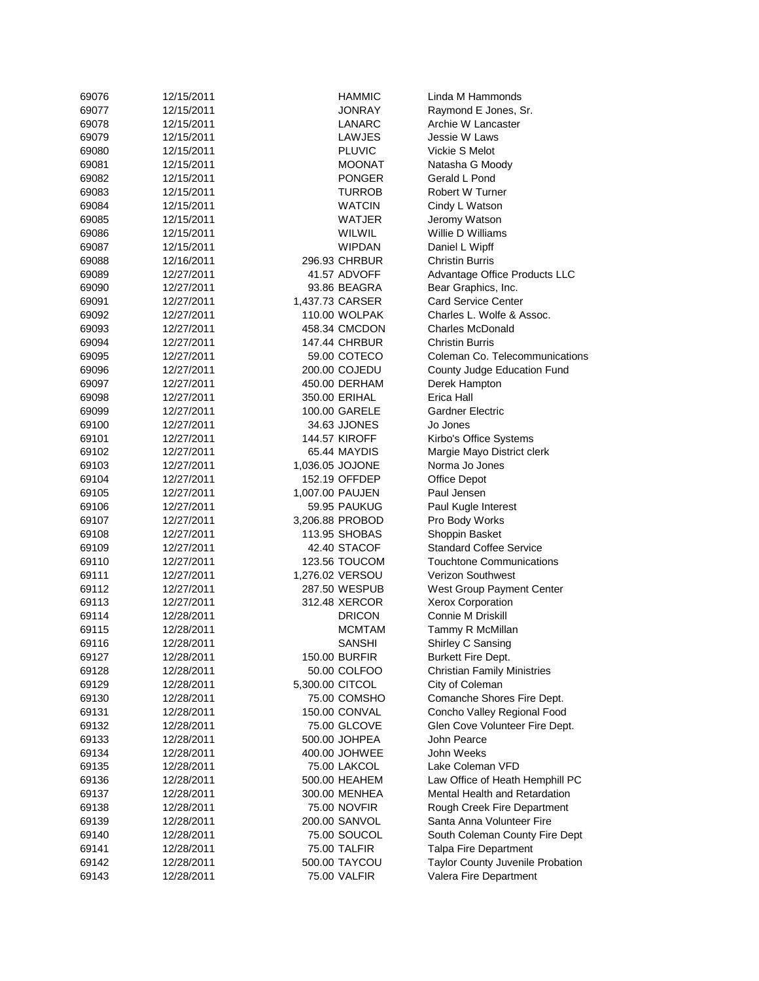| 69076 | 12/15/2011 | <b>HAMMIC</b>        | Linda M Hammonds                                         |
|-------|------------|----------------------|----------------------------------------------------------|
| 69077 | 12/15/2011 | <b>JONRAY</b>        | Raymond E Jones, Sr.                                     |
| 69078 | 12/15/2011 | LANARC               | Archie W Lancaster                                       |
| 69079 | 12/15/2011 | LAWJES               | Jessie W Laws                                            |
| 69080 | 12/15/2011 | <b>PLUVIC</b>        | Vickie S Melot                                           |
| 69081 | 12/15/2011 | <b>MOONAT</b>        | Natasha G Moody                                          |
| 69082 | 12/15/2011 | <b>PONGER</b>        | Gerald L Pond                                            |
| 69083 | 12/15/2011 | <b>TURROB</b>        | Robert W Turner                                          |
| 69084 | 12/15/2011 | <b>WATCIN</b>        | Cindy L Watson                                           |
| 69085 | 12/15/2011 | <b>WATJER</b>        | Jeromy Watson                                            |
| 69086 | 12/15/2011 | WILWIL               | Willie D Williams                                        |
| 69087 | 12/15/2011 | <b>WIPDAN</b>        | Daniel L Wipff                                           |
| 69088 | 12/16/2011 | 296.93 CHRBUR        | <b>Christin Burris</b>                                   |
| 69089 | 12/27/2011 | 41.57 ADVOFF         | Advantage Office Products LLC                            |
| 69090 | 12/27/2011 | 93.86 BEAGRA         | Bear Graphics, Inc.                                      |
| 69091 | 12/27/2011 | 1,437.73 CARSER      | <b>Card Service Center</b>                               |
| 69092 | 12/27/2011 | 110.00 WOLPAK        | Charles L. Wolfe & Assoc.                                |
| 69093 | 12/27/2011 | 458.34 CMCDON        | <b>Charles McDonald</b>                                  |
|       | 12/27/2011 | <b>147.44 CHRBUR</b> | <b>Christin Burris</b>                                   |
| 69094 |            |                      |                                                          |
| 69095 | 12/27/2011 | 59.00 COTECO         | Coleman Co. Telecommunications                           |
| 69096 | 12/27/2011 | 200.00 COJEDU        | County Judge Education Fund                              |
| 69097 | 12/27/2011 | 450.00 DERHAM        | Derek Hampton                                            |
| 69098 | 12/27/2011 | 350.00 ERIHAL        | Erica Hall                                               |
| 69099 | 12/27/2011 | 100.00 GARELE        | <b>Gardner Electric</b>                                  |
| 69100 | 12/27/2011 | 34.63 JJONES         | Jo Jones                                                 |
| 69101 | 12/27/2011 | 144.57 KIROFF        | Kirbo's Office Systems                                   |
| 69102 | 12/27/2011 | 65.44 MAYDIS         | Margie Mayo District clerk                               |
| 69103 | 12/27/2011 | 1,036.05 JOJONE      | Norma Jo Jones                                           |
| 69104 | 12/27/2011 | 152.19 OFFDEP        | Office Depot                                             |
| 69105 | 12/27/2011 | 1,007.00 PAUJEN      | Paul Jensen                                              |
| 69106 | 12/27/2011 | 59.95 PAUKUG         | Paul Kugle Interest                                      |
| 69107 | 12/27/2011 | 3,206.88 PROBOD      | Pro Body Works                                           |
| 69108 | 12/27/2011 | 113.95 SHOBAS        | Shoppin Basket                                           |
| 69109 | 12/27/2011 | 42.40 STACOF         | <b>Standard Coffee Service</b>                           |
| 69110 | 12/27/2011 | 123.56 TOUCOM        | <b>Touchtone Communications</b>                          |
| 69111 | 12/27/2011 | 1,276.02 VERSOU      | <b>Verizon Southwest</b>                                 |
| 69112 | 12/27/2011 | 287.50 WESPUB        | West Group Payment Center                                |
| 69113 | 12/27/2011 | 312.48 XERCOR        | Xerox Corporation                                        |
| 69114 | 12/28/2011 | <b>DRICON</b>        | Connie M Driskill                                        |
| 69115 | 12/28/2011 | <b>MCMTAM</b>        | Tammy R McMillan                                         |
| 69116 | 12/28/2011 | <b>SANSHI</b>        | Shirley C Sansing                                        |
| 69127 | 12/28/2011 | 150.00 BURFIR        | <b>Burkett Fire Dept.</b>                                |
| 69128 | 12/28/2011 | 50.00 COLFOO         | <b>Christian Family Ministries</b>                       |
| 69129 | 12/28/2011 | 5,300.00 CITCOL      | City of Coleman                                          |
| 69130 | 12/28/2011 | 75.00 COMSHO         | Comanche Shores Fire Dept.                               |
| 69131 | 12/28/2011 | 150.00 CONVAL        | Concho Valley Regional Food                              |
| 69132 | 12/28/2011 | 75.00 GLCOVE         | Glen Cove Volunteer Fire Dept.                           |
| 69133 | 12/28/2011 | 500.00 JOHPEA        | John Pearce                                              |
| 69134 | 12/28/2011 | 400.00 JOHWEE        | John Weeks                                               |
| 69135 | 12/28/2011 | <b>75.00 LAKCOL</b>  | Lake Coleman VFD                                         |
| 69136 | 12/28/2011 | 500.00 HEAHEM        | Law Office of Heath Hemphill PC                          |
| 69137 | 12/28/2011 | 300.00 MENHEA        | Mental Health and Retardation                            |
| 69138 |            | 75.00 NOVFIR         |                                                          |
|       | 12/28/2011 | 200.00 SANVOL        | Rough Creek Fire Department<br>Santa Anna Volunteer Fire |
| 69139 | 12/28/2011 |                      |                                                          |
| 69140 | 12/28/2011 | 75.00 SOUCOL         | South Coleman County Fire Dept                           |
| 69141 | 12/28/2011 | 75.00 TALFIR         | <b>Talpa Fire Department</b>                             |
| 69142 | 12/28/2011 | 500.00 TAYCOU        | Taylor County Juvenile Probation                         |
| 69143 | 12/28/2011 | 75.00 VALFIR         | Valera Fire Department                                   |